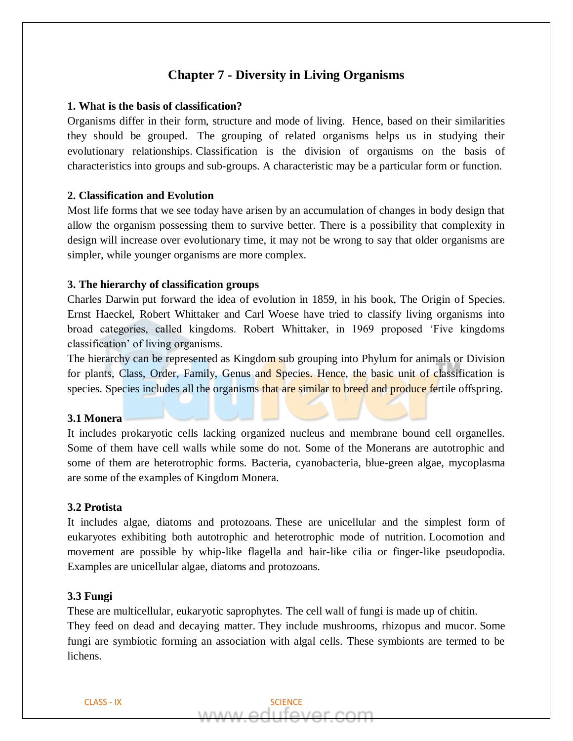# **Chapter 7 - Diversity in Living Organisms**

### **1. What is the basis of classification?**

Organisms differ in their form, structure and mode of living. Hence, based on their similarities they should be grouped. The grouping of related organisms helps us in studying their evolutionary relationships. Classification is the division of organisms on the basis of characteristics into groups and sub-groups. A characteristic may be a particular form or function.

#### **2. Classification and Evolution**

Most life forms that we see today have arisen by an accumulation of changes in body design that allow the organism possessing them to survive better. There is a possibility that complexity in design will increase over evolutionary time, it may not be wrong to say that older organisms are simpler, while younger organisms are more complex.

### **3. The hierarchy of classification groups**

Charles Darwin put forward the idea of evolution in 1859, in his book, The Origin of Species. Ernst Haeckel, Robert Whittaker and Carl Woese have tried to classify living organisms into broad categories, called kingdoms. Robert Whittaker, in 1969 proposed 'Five kingdoms classification' of living organisms.

The hierarchy can be represented as Kingdom sub grouping into Phylum for animals or Division for plants, Class, Order, Family, Genus and Species. Hence, the basic unit of classification is species. Species includes all the organisms that are similar to breed and produce fertile offspring.

#### **3.1 Monera**

It includes prokaryotic cells lacking organized nucleus and membrane bound cell organelles. Some of them have cell walls while some do not. Some of the Monerans are autotrophic and some of them are heterotrophic forms. Bacteria, cyanobacteria, blue-green algae, mycoplasma are some of the examples of Kingdom Monera.

#### **3.2 Protista**

It includes algae, diatoms and protozoans. These are unicellular and the simplest form of eukaryotes exhibiting both autotrophic and heterotrophic mode of nutrition. Locomotion and movement are possible by whip-like flagella and hair-like cilia or finger-like pseudopodia. Examples are unicellular algae, diatoms and protozoans.

### **3.3 Fungi**

These are multicellular, eukaryotic saprophytes. The cell wall of fungi is made up of chitin.

They feed on dead and decaying matter. They include mushrooms, rhizopus and mucor. Some fungi are symbiotic forming an association with algal cells. These symbionts are termed to be lichens.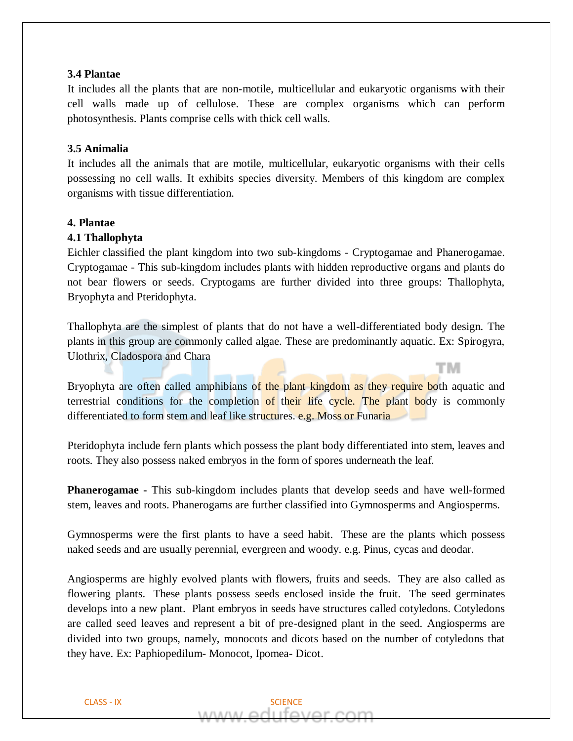### **3.4 Plantae**

It includes all the plants that are non-motile, multicellular and eukaryotic organisms with their cell walls made up of cellulose. These are complex organisms which can perform photosynthesis. Plants comprise cells with thick cell walls.

# **3.5 Animalia**

It includes all the animals that are motile, multicellular, eukaryotic organisms with their cells possessing no cell walls. It exhibits species diversity. Members of this kingdom are complex organisms with tissue differentiation.

### **4. Plantae**

# **4.1 Thallophyta**

Eichler classified the plant kingdom into two sub-kingdoms - Cryptogamae and Phanerogamae. Cryptogamae - This sub-kingdom includes plants with hidden reproductive organs and plants do not bear flowers or seeds. Cryptogams are further divided into three groups: Thallophyta, Bryophyta and Pteridophyta.

Thallophyta are the simplest of plants that do not have a well-differentiated body design. The plants in this group are commonly called algae. These are predominantly aquatic. Ex: Spirogyra, Ulothrix, Cladospora and Chara

тм

Bryophyta are often called amphibians of the plant kingdom as they require both aquatic and terrestrial conditions for the completion of their life cycle. The plant body is commonly differentiated to form stem and leaf like structures. e.g. Moss or Funaria

Pteridophyta include fern plants which possess the plant body differentiated into stem, leaves and roots. They also possess naked embryos in the form of spores underneath the leaf.

**Phanerogamae -** This sub-kingdom includes plants that develop seeds and have well-formed stem, leaves and roots. Phanerogams are further classified into Gymnosperms and Angiosperms.

Gymnosperms were the first plants to have a seed habit. These are the plants which possess naked seeds and are usually perennial, evergreen and woody. e.g. Pinus, cycas and deodar.

Angiosperms are highly evolved plants with flowers, fruits and seeds. They are also called as flowering plants. These plants possess seeds enclosed inside the fruit. The seed germinates develops into a new plant. Plant embryos in seeds have structures called cotyledons. Cotyledons are called seed leaves and represent a bit of pre-designed plant in the seed. Angiosperms are divided into two groups, namely, monocots and dicots based on the number of cotyledons that they have. Ex: Paphiopedilum- Monocot, Ipomea- Dicot.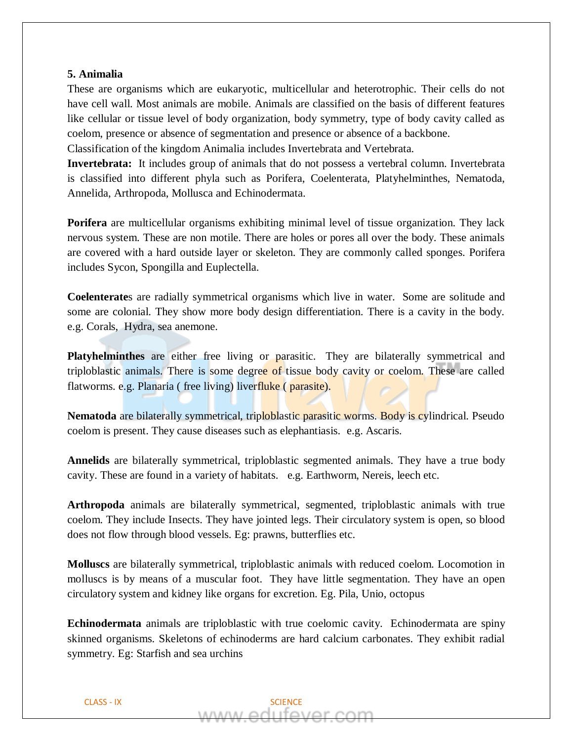# **5. Animalia**

These are organisms which are eukaryotic, multicellular and heterotrophic. Their cells do not have cell wall. Most animals are mobile. Animals are classified on the basis of different features like cellular or tissue level of body organization, body symmetry, type of body cavity called as coelom, presence or absence of segmentation and presence or absence of a backbone. Classification of the kingdom Animalia includes Invertebrata and Vertebrata.

**Invertebrata:** It includes group of animals that do not possess a vertebral column. Invertebrata

is classified into different phyla such as Porifera, Coelenterata, Platyhelminthes, Nematoda, Annelida, Arthropoda, Mollusca and Echinodermata.

**Porifera** are multicellular organisms exhibiting minimal level of tissue organization. They lack nervous system. These are non motile. There are holes or pores all over the body. These animals are covered with a hard outside layer or skeleton. They are commonly called sponges. Porifera includes Sycon, Spongilla and Euplectella.

**Coelenterate**s are radially symmetrical organisms which live in water. Some are solitude and some are colonial. They show more body design differentiation. There is a cavity in the body. e.g. Corals, Hydra, sea anemone.

**Platyhelminthes** are either free living or parasitic. They are bilaterally symmetrical and triploblastic animals. There is some degree of tissue body cavity or coelom. These are called flatworms. e.g. Planaria ( free living) liverfluke ( parasite).

Nematoda are bilaterally symmetrical, triploblastic parasitic worms. Body is cylindrical. Pseudo coelom is present. They cause diseases such as elephantiasis. e.g. Ascaris.

**Annelids** are bilaterally symmetrical, triploblastic segmented animals. They have a true body cavity. These are found in a variety of habitats. e.g. Earthworm, Nereis, leech etc.

**Arthropoda** animals are bilaterally symmetrical, segmented, triploblastic animals with true coelom. They include Insects. They have jointed legs. Their circulatory system is open, so blood does not flow through blood vessels. Eg: prawns, butterflies etc.

**Molluscs** are bilaterally symmetrical, triploblastic animals with reduced coelom. Locomotion in molluscs is by means of a muscular foot. They have little segmentation. They have an open circulatory system and kidney like organs for excretion. Eg. Pila, Unio, octopus

**Echinodermata** animals are triploblastic with true coelomic cavity. Echinodermata are spiny skinned organisms. Skeletons of echinoderms are hard calcium carbonates. They exhibit radial symmetry. Eg: Starfish and sea urchins